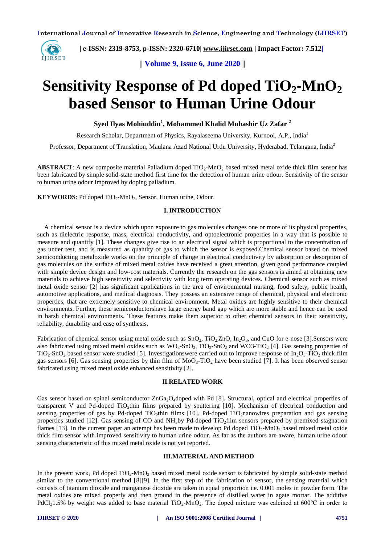

 **| e-ISSN: 2319-8753, p-ISSN: 2320-6710| [www.ijirset.com](http://www.ijirset.com/) | Impact Factor: 7.512|**

**|| Volume 9, Issue 6, June 2020 ||** 

# **Sensitivity Response of Pd doped TiO2-MnO<sup>2</sup> based Sensor to Human Urine Odour**

**Syed Ilyas Mohiuddin<sup>1</sup> , Mohammed Khalid Mubashir Uz Zafar <sup>2</sup>**

Research Scholar, Department of Physics, Rayalaseema University, Kurnool, A.P., India<sup>1</sup>

Professor, Department of Translation, Maulana Azad National Urdu University, Hyderabad, Telangana, India<sup>2</sup>

**ABSTRACT**: A new composite material Palladium doped TiO<sub>2</sub>-MnO<sub>2</sub> based mixed metal oxide thick film sensor has been fabricated by simple solid-state method first time for the detection of human urine odour. Sensitivity of the sensor to human urine odour improved by doping palladium.

**KEYWORDS:** Pd doped TiO<sub>2</sub>-MnO<sub>2</sub>, Sensor, Human urine, Odour.

#### **I. INTRODUCTION**

A chemical sensor is a device which upon exposure to gas molecules changes one or more of its physical properties, such as dielectric response, mass, electrical conductivity, and optoelectronic properties in a way that is possible to measure and quantify [1]. These changes give rise to an electrical signal which is proportional to the concentration of gas under test, and is measured as quantity of gas to which the sensor is exposed.Chemical sensor based on mixed semiconducting metaloxide works on the principle of change in electrical conductivity by adsorption or desorption of gas molecules on the surface of mixed metal oxides have received a great attention, given good performance coupled with simple device design and low-cost materials. Currently the research on the gas sensors is aimed at obtaining new materials to achieve high sensitivity and selectivity with long term operating devices. Chemical sensor such as mixed metal oxide sensor [2] has significant applications in the area of environmental nursing, food safety, public health, automotive applications, and medical diagnosis. They possess an extensive range of chemical, physical and electronic properties, that are extremely sensitive to chemical environment. Metal oxides are highly sensitive to their chemical environments. Further, these semiconductorshave large energy band gap which are more stable and hence can be used in harsh chemical environments. These features make them superior to other chemical sensors in their sensitivity, reliability, durability and ease of synthesis.

Fabrication of chemical sensor using metal oxide such as  $SnO_2$ ,  $TiO_2ZnO$ ,  $In_2O_3$ , and CuO for e-nose [3].Sensors were also fabricated using mixed metal oxides such as  $WO_3$ -SnO<sub>2</sub>, TiO<sub>2</sub>-SnO<sub>2</sub> and WO3-TiO<sub>2</sub> [4]. Gas sensing properties of  $TiO<sub>2</sub>-SnO<sub>2</sub>$  based sensor were studied [5]. Investigationswere carried out to improve response of In<sub>2</sub>O<sub>3</sub>-TiO<sub>2</sub> thick film gas sensors [6]. Gas sensing properties by thin film of  $MoO<sub>3</sub>-TiO<sub>2</sub>$  have been studied [7]. It has been observed sensor fabricated using mixed metal oxide enhanced sensitivity [2].

#### **II.RELATED WORK**

Gas sensor based on spinel semiconductor  $ZnGa_2O_4$ doped with Pd [8]. Structural, optical and electrical properties of transparent V and Pd-doped TiO<sub>2</sub>thin films prepared by sputtering  $[10]$ . Mechanism of electrical conduction and sensing properties of gas by Pd-doped TiO<sub>2</sub>thin films [10]. Pd-doped TiO<sub>2</sub>nanowires preparation and gas sensing properties studied [12]. Gas sensing of CO and NH<sub>3</sub>by Pd-doped TiO<sub>2</sub>film sensors prepared by premixed stagnation flames [13]. In the current paper an attempt has been made to develop Pd doped  $TiO<sub>2</sub>-MnO<sub>2</sub>$  based mixed metal oxide thick film sensor with improved sensitivity to human urine odour. As far as the authors are aware, human urine odour sensing characteristic of this mixed metal oxide is not yet reported.

#### **III.MATERIAL AND METHOD**

In the present work, Pd doped  $TiO_2-MnO_2$  based mixed metal oxide sensor is fabricated by simple solid-state method similar to the conventional method [8][9]. In the first step of the fabrication of sensor, the sensing material which consists of titanium dioxide and manganese dioxide are taken in equal proportion i.e. 0.001 moles in powder form. The metal oxides are mixed properly and then ground in the presence of distilled water in agate mortar. The additive PdCl<sub>2</sub>1.5% by weight was added to base material TiO<sub>2</sub>-MnO<sub>2</sub>. The doped mixture was calcined at 600°C in order to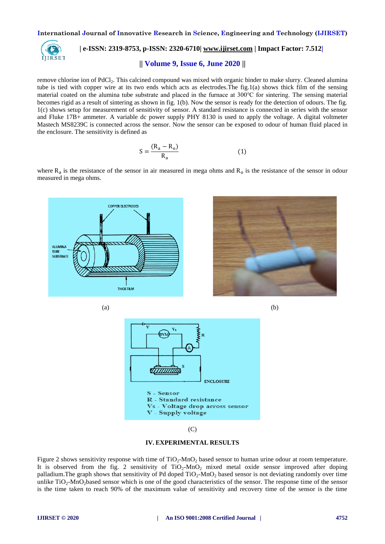

# **| e-ISSN: 2319-8753, p-ISSN: 2320-6710| [www.ijirset.com](http://www.ijirset.com/) | Impact Factor: 7.512|**

## **|| Volume 9, Issue 6, June 2020 ||**

remove chlorine ion of PdCl<sub>2</sub>. This calcined compound was mixed with organic binder to make slurry. Cleaned alumina tube is tied with copper wire at its two ends which acts as electrodes.The fig.1(a) shows thick film of the sensing material coated on the alumina tube substrate and placed in the furnace at 300℃ for sintering. The sensing material becomes rigid as a result of sintering as shown in fig. 1(b). Now the sensor is ready for the detection of odours. The fig. 1(c) shows setup for measurement of sensitivity of sensor. A standard resistance is connected in series with the sensor and Fluke 17B+ ammeter. A variable dc power supply PHY 8130 is used to apply the voltage. A digital voltmeter Mastech MS8239C is connected across the sensor. Now the sensor can be exposed to odour of human fluid placed in the enclosure. The sensitivity is defined as

$$
S = \frac{(R_a - R_o)}{R_a} \tag{1}
$$

where  $R_a$  is the resistance of the sensor in air measured in mega ohms and  $R_0$  is the resistance of the sensor in odour measured in mega ohms.







 $(C)$ 



Figure 2 shows sensitivity response with time of  $TiO_2-MnO_2$  based sensor to human urine odour at room temperature. It is observed from the fig. 2 sensitivity of  $TiO<sub>2</sub>-MnO<sub>2</sub>$  mixed metal oxide sensor improved after doping palladium. The graph shows that sensitivity of Pd doped  $TiO<sub>2</sub>-MnO<sub>2</sub>$  based sensor is not deviating randomly over time unlike  $TiO_2$ -MnO<sub>2</sub>based sensor which is one of the good characteristics of the sensor. The response time of the sensor is the time taken to reach 90% of the maximum value of sensitivity and recovery time of the sensor is the time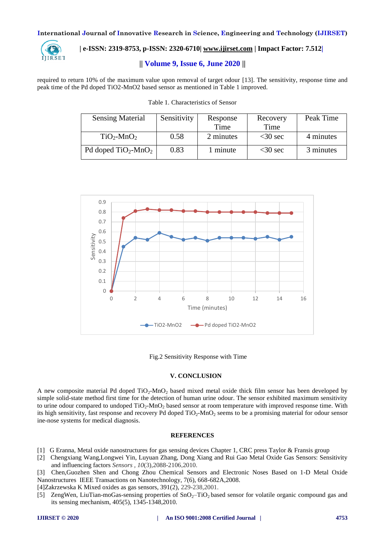

### **| e-ISSN: 2319-8753, p-ISSN: 2320-6710| [www.ijirset.com](http://www.ijirset.com/) | Impact Factor: 7.512|**

#### **|| Volume 9, Issue 6, June 2020 ||**

required to return 10% of the maximum value upon removal of target odour [13]. The sensitivity, response time and peak time of the Pd doped TiO2-MnO2 based sensor as mentioned in Table 1 improved.

| <b>Sensing Material</b>    | Sensitivity | Response  | Recovery  | Peak Time |
|----------------------------|-------------|-----------|-----------|-----------|
|                            |             | Time      | Time      |           |
| $TiO2-MnO2$                | 0.58        | 2 minutes | $<30$ sec | 4 minutes |
| Pd doped $TiO_2$ -Mn $O_2$ | 0.83        | 1 minute  | $<30$ sec | 3 minutes |





Fig.2 Sensitivity Response with Time

#### **V. CONCLUSION**

A new composite material Pd doped  $TiO<sub>2</sub>$ -MnO<sub>2</sub> based mixed metal oxide thick film sensor has been developed by simple solid-state method first time for the detection of human urine odour. The sensor exhibited maximum sensitivity to urine odour compared to undoped  $TiO<sub>2</sub>-MnO<sub>2</sub>$  based sensor at room temperature with improved response time. With its high sensitivity, fast response and recovery Pd doped TiO<sub>2</sub>-MnO<sub>2</sub> seems to be a promising material for odour sensor ine-nose systems for medical diagnosis.

#### **REFERENCES**

- [1] G Eranna, Metal oxide nanostructures for gas sensing devices Chapter 1, CRC press Taylor & Fransis group
- [2] Chengxiang Wang,Longwei Yin, Luyuan Zhang, Dong Xiang and Rui Gao Metal Oxide Gas Sensors: Sensitivity and influencing factors *Sensors , 10*(3),2088-2106,2010.

[3] Chen,Guozhen Shen and Chong Zhou Chemical Sensors and Electronic Noses Based on 1-D Metal Oxide Nanostructures IEEE Transactions on Nanotechnology, 7(6), 668-682A,2008.

[4[\]Zakrzewska](https://www.sciencedirect.com/science/article/pii/S0040609001009877#!) K Mixed oxides as gas sensors, 391(2), 229-238,2001.

[5] [ZengWen, LiuTian-moG](https://www.sciencedirect.com/science/article/pii/S0921452609014525#!)as-sensing properties of  $SnO<sub>2</sub>-TiO<sub>2</sub>$  based sensor for volatile organic compound gas and its sensing mechanism, 405(5), 1345-1348,2010.